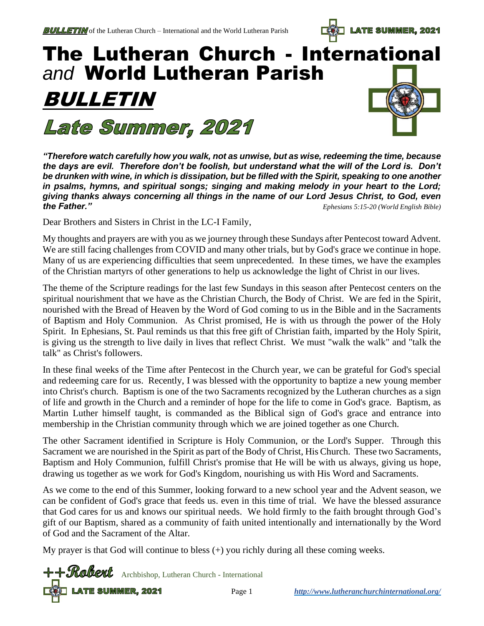**LATE SUMMER, 2021** 

# The Lutheran Church - International *and* World Lutheran Parish BULLETIN Late Summer, 2021

*"Therefore watch carefully how you walk, not as unwise, but as wise, redeeming the time, because the days are evil. Therefore don't be foolish, but understand what the will of the Lord is. Don't be drunken with wine, in which is dissipation, but be filled with the Spirit, speaking to one another in psalms, hymns, and spiritual songs; singing and making melody in your heart to the Lord; giving thanks always concerning all things in the name of our Lord Jesus Christ, to God, even the Father." [Ephesians 5:15-20](about:blank) (World English Bible)*

Dear Brothers and Sisters in Christ in the LC-I Family,

My thoughts and prayers are with you as we journey through these Sundays after Pentecost toward Advent. We are still facing challenges from COVID and many other trials, but by God's grace we continue in hope. Many of us are experiencing difficulties that seem unprecedented. In these times, we have the examples of the Christian martyrs of other generations to help us acknowledge the light of Christ in our lives.

The theme of the Scripture readings for the last few Sundays in this season after Pentecost centers on the spiritual nourishment that we have as the Christian Church, the Body of Christ. We are fed in the Spirit, nourished with the Bread of Heaven by the Word of God coming to us in the Bible and in the Sacraments of Baptism and Holy Communion. As Christ promised, He is with us through the power of the Holy Spirit. In Ephesians, St. Paul reminds us that this free gift of Christian faith, imparted by the Holy Spirit, is giving us the strength to live daily in lives that reflect Christ. We must "walk the walk" and "talk the talk" as Christ's followers.

In these final weeks of the Time after Pentecost in the Church year, we can be grateful for God's special and redeeming care for us. Recently, I was blessed with the opportunity to baptize a new young member into Christ's church. Baptism is one of the two Sacraments recognized by the Lutheran churches as a sign of life and growth in the Church and a reminder of hope for the life to come in God's grace. Baptism, as Martin Luther himself taught, is commanded as the Biblical sign of God's grace and entrance into membership in the Christian community through which we are joined together as one Church.

The other Sacrament identified in Scripture is Holy Communion, or the Lord's Supper. Through this Sacrament we are nourished in the Spirit as part of the Body of Christ, His Church. These two Sacraments, Baptism and Holy Communion, fulfill Christ's promise that He will be with us always, giving us hope, drawing us together as we work for God's Kingdom, nourishing us with His Word and Sacraments.

As we come to the end of this Summer, looking forward to a new school year and the Advent season, we can be confident of God's grace that feeds us. even in this time of trial. We have the blessed assurance that God cares for us and knows our spiritual needs. We hold firmly to the faith brought through God's gift of our Baptism, shared as a community of faith united intentionally and internationally by the Word of God and the Sacrament of the Altar.

My prayer is that God will continue to bless (+) you richly during all these coming weeks.

**LATE SUMMER, 2021** Page 1 *http://www.lutheranchurchinternational.org/* ++Robert Archbishop, Lutheran Church - International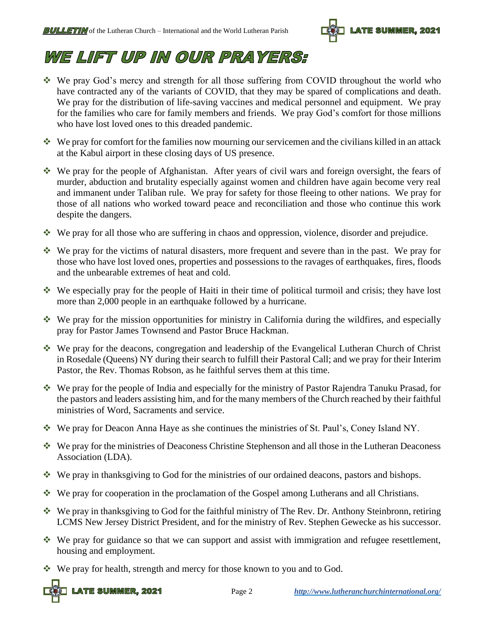

### WE LIFT UP IN OUR PRAYERS:

- ❖ We pray God's mercy and strength for all those suffering from COVID throughout the world who have contracted any of the variants of COVID, that they may be spared of complications and death. We pray for the distribution of life-saving vaccines and medical personnel and equipment. We pray for the families who care for family members and friends. We pray God's comfort for those millions who have lost loved ones to this dreaded pandemic.
- ❖ We pray for comfort for the families now mourning our servicemen and the civilians killed in an attack at the Kabul airport in these closing days of US presence.
- ❖ We pray for the people of Afghanistan. After years of civil wars and foreign oversight, the fears of murder, abduction and brutality especially against women and children have again become very real and immanent under Taliban rule. We pray for safety for those fleeing to other nations. We pray for those of all nations who worked toward peace and reconciliation and those who continue this work despite the dangers.
- ❖ We pray for all those who are suffering in chaos and oppression, violence, disorder and prejudice.
- ❖ We pray for the victims of natural disasters, more frequent and severe than in the past. We pray for those who have lost loved ones, properties and possessions to the ravages of earthquakes, fires, floods and the unbearable extremes of heat and cold.
- ❖ We especially pray for the people of Haiti in their time of political turmoil and crisis; they have lost more than 2,000 people in an earthquake followed by a hurricane.
- ❖ We pray for the mission opportunities for ministry in California during the wildfires, and especially pray for Pastor James Townsend and Pastor Bruce Hackman.
- ❖ We pray for the deacons, congregation and leadership of the Evangelical Lutheran Church of Christ in Rosedale (Queens) NY during their search to fulfill their Pastoral Call; and we pray for their Interim Pastor, the Rev. Thomas Robson, as he faithful serves them at this time.
- ❖ We pray for the people of India and especially for the ministry of Pastor Rajendra Tanuku Prasad, for the pastors and leaders assisting him, and for the many members of the Church reached by their faithful ministries of Word, Sacraments and service.
- ❖ We pray for Deacon Anna Haye as she continues the ministries of St. Paul's, Coney Island NY.
- ❖ We pray for the ministries of Deaconess Christine Stephenson and all those in the Lutheran Deaconess Association (LDA).
- ❖ We pray in thanksgiving to God for the ministries of our ordained deacons, pastors and bishops.
- ❖ We pray for cooperation in the proclamation of the Gospel among Lutherans and all Christians.
- ❖ We pray in thanksgiving to God for the faithful ministry of The Rev. Dr. Anthony Steinbronn, retiring LCMS New Jersey District President, and for the ministry of Rev. Stephen Gewecke as his successor.
- ❖ We pray for guidance so that we can support and assist with immigration and refugee resettlement, housing and employment.
- ❖ We pray for health, strength and mercy for those known to you and to God.

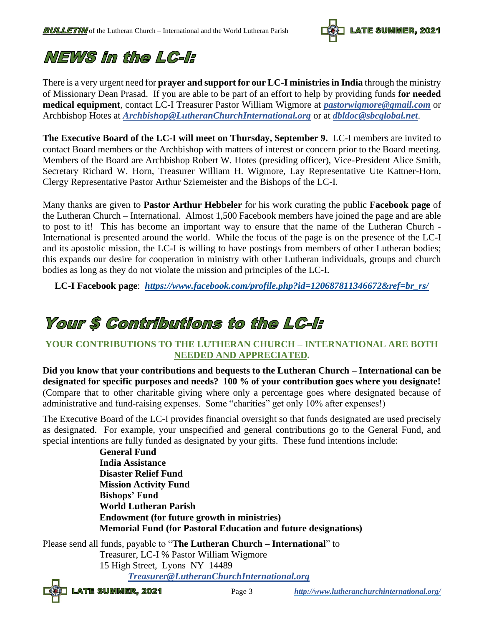

### NEWS in the LC-l:

There is a very urgent need for **prayer and support for our LC-I ministries in India** through the ministry of Missionary Dean Prasad. If you are able to be part of an effort to help by providing funds **for needed medical equipment**, contact LC-I Treasurer Pastor William Wigmore at *[pastorwigmore@gmail.com](mailto:pastorwigmore@gmail.com)* or Archbishop Hotes at *[Archbishop@LutheranChurchInternational.org](mailto:Archbishop@LutheranChurchInternational.org)* or at *[dbldoc@sbcglobal.net](mailto:dbldoc@sbcglobal.net)*.

**The Executive Board of the LC-I will meet on Thursday, September 9.** LC-I members are invited to contact Board members or the Archbishop with matters of interest or concern prior to the Board meeting. Members of the Board are Archbishop Robert W. Hotes (presiding officer), Vice-President Alice Smith, Secretary Richard W. Horn, Treasurer William H. Wigmore, Lay Representative Ute Kattner-Horn, Clergy Representative Pastor Arthur Sziemeister and the Bishops of the LC-I.

Many thanks are given to **Pastor Arthur Hebbeler** for his work curating the public **Facebook page** of the Lutheran Church – International. Almost 1,500 Facebook members have joined the page and are able to post to it! This has become an important way to ensure that the name of the Lutheran Church - International is presented around the world. While the focus of the page is on the presence of the LC-I and its apostolic mission, the LC-I is willing to have postings from members of other Lutheran bodies; this expands our desire for cooperation in ministry with other Lutheran individuals, groups and church bodies as long as they do not violate the mission and principles of the LC-I.

**LC-I Facebook page**: *[https://www.facebook.com/profile.php?id=120687811346672&ref=br\\_rs/](https://www.facebook.com/profile.php?id=120687811346672&ref=br_rs/)*

### **Your \$ Contributions to the LC-I:**

#### **YOUR CONTRIBUTIONS TO THE LUTHERAN CHURCH – INTERNATIONAL ARE BOTH NEEDED AND APPRECIATED.**

**Did you know that your contributions and bequests to the Lutheran Church – International can be designated for specific purposes and needs? 100 % of your contribution goes where you designate!** (Compare that to other charitable giving where only a percentage goes where designated because of administrative and fund-raising expenses. Some "charities" get only 10% after expenses!)

The Executive Board of the LC-I provides financial oversight so that funds designated are used precisely as designated. For example, your unspecified and general contributions go to the General Fund, and special intentions are fully funded as designated by your gifts. These fund intentions include:

> **General Fund India Assistance Disaster Relief Fund Mission Activity Fund Bishops' Fund World Lutheran Parish Endowment (for future growth in ministries) Memorial Fund (for Pastoral Education and future designations)**

Please send all funds, payable to "**The Lutheran Church – International**" to Treasurer, LC-I % Pastor William Wigmore 15 High Street, Lyons NY 14489 *[Treasurer@LutheranChurchInternational.org](mailto:Treasurer@LutheranChurchInternational.org)*

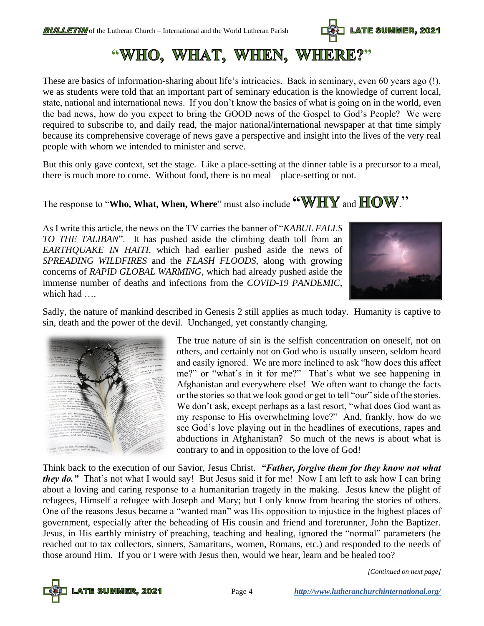

"WHO, WHAT, WHEN, WHERE?"

These are basics of information-sharing about life's intricacies. Back in seminary, even 60 years ago (!), we as students were told that an important part of seminary education is the knowledge of current local, state, national and international news. If you don't know the basics of what is going on in the world, even the bad news, how do you expect to bring the GOOD news of the Gospel to God's People? We were required to subscribe to, and daily read, the major national/international newspaper at that time simply because its comprehensive coverage of news gave a perspective and insight into the lives of the very real people with whom we intended to minister and serve.

But this only gave context, set the stage. Like a place-setting at the dinner table is a precursor to a meal, there is much more to come. Without food, there is no meal – place-setting or not.

The response to "**Who, What, When, Where**" must also include **"WHY** and  $\mathbf{HOW}$ ."

As I write this article, the news on the TV carries the banner of "*KABUL FALLS TO THE TALIBAN*". It has pushed aside the climbing death toll from an *EARTHQUAKE IN HAITI*, which had earlier pushed aside the news of *SPREADING WILDFIRES* and the *FLASH FLOODS*, along with growing concerns of *RAPID GLOBAL WARMING*, which had already pushed aside the immense number of deaths and infections from the *COVID-19 PANDEMIC*, which had ….



Sadly, the nature of mankind described in Genesis 2 still applies as much today. Humanity is captive to sin, death and the power of the devil. Unchanged, yet constantly changing.



The true nature of sin is the selfish concentration on oneself, not on others, and certainly not on God who is usually unseen, seldom heard and easily ignored. We are more inclined to ask "how does this affect me?" or "what's in it for me?" That's what we see happening in Afghanistan and everywhere else! We often want to change the facts or the stories so that we look good or get to tell "our" side of the stories. We don't ask, except perhaps as a last resort, "what does God want as my response to His overwhelming love?" And, frankly, how do we see God's love playing out in the headlines of executions, rapes and abductions in Afghanistan? So much of the news is about what is contrary to and in opposition to the love of God!

Think back to the execution of our Savior, Jesus Christ. *"Father, forgive them for they know not what they do.*" That's not what I would say! But Jesus said it for me! Now I am left to ask how I can bring about a loving and caring response to a humanitarian tragedy in the making. Jesus knew the plight of refugees, Himself a refugee with Joseph and Mary; but I only know from hearing the stories of others. One of the reasons Jesus became a "wanted man" was His opposition to injustice in the highest places of government, especially after the beheading of His cousin and friend and forerunner, John the Baptizer. Jesus, in His earthly ministry of preaching, teaching and healing, ignored the "normal" parameters (he reached out to tax collectors, sinners, Samaritans, women, Romans, etc.) and responded to the needs of those around Him. If you or I were with Jesus then, would we hear, learn and be healed too?



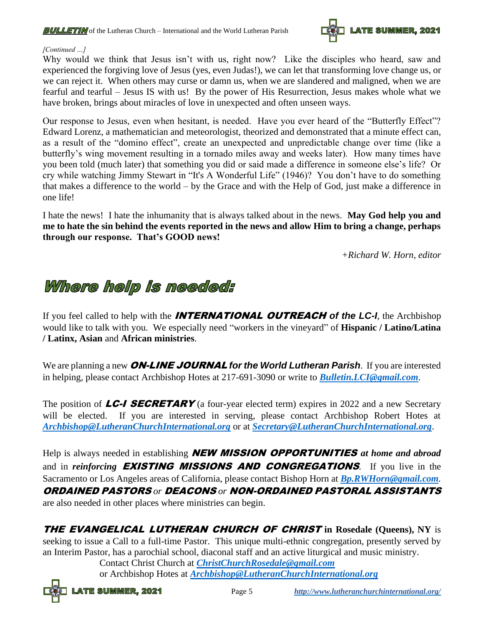

#### *[Continued …]*

Why would we think that Jesus isn't with us, right now? Like the disciples who heard, saw and experienced the forgiving love of Jesus (yes, even Judas!), we can let that transforming love change us, or we can reject it. When others may curse or damn us, when we are slandered and maligned, when we are fearful and tearful – Jesus IS with us! By the power of His Resurrection, Jesus makes whole what we have broken, brings about miracles of love in unexpected and often unseen ways.

Our response to Jesus, even when hesitant, is needed. Have you ever heard of the "Butterfly Effect"? Edward Lorenz, a mathematician and meteorologist, theorized and demonstrated that a minute effect can, as a result of the "domino effect", create an unexpected and unpredictable change over time (like a butterfly's wing movement resulting in a tornado miles away and weeks later). How many times have you been told (much later) that something you did or said made a difference in someone else's life? Or cry while watching Jimmy Stewart in "It's A Wonderful Life" (1946)? You don't have to do something that makes a difference to the world – by the Grace and with the Help of God, just make a difference in one life!

I hate the news! I hate the inhumanity that is always talked about in the news. **May God help you and me to hate the sin behind the events reported in the news and allow Him to bring a change, perhaps through our response. That's GOOD news!**

*+Richard W. Horn, editor*

### Where help is needed:

If you feel called to help with the INTERNATIONAL OUTREACH *of the LC-I*, the Archbishop would like to talk with you. We especially need "workers in the vineyard" of **Hispanic / Latino/Latina / Latinx, Asian** and **African ministries**.

We are planning a new **ON-LINE JOURNAL** for the World Lutheran Parish. If you are interested in helping, please contact Archbishop Hotes at 217-691-3090 or write to *[Bulletin.LCI@gmail.com](mailto:Bulletin.LCI@gmail.com)*.

The position of  $LC-I$  **SECRETARY** (a four-year elected term) expires in 2022 and a new Secretary will be elected. If you are interested in serving, please contact Archbishop Robert Hotes at *[Archbishop@LutheranChurchInternational.org](mailto:Archbishop@LutheranChurchInternational.org)* or at *[Secretary@LutheranChurchInternational.org](mailto:Secretary@LutheranChurchInternational.org)*.

Help is always needed in establishing NEW MISSION OPPORTUNITIES *at home and abroad* and in *reinforcing* EXISTING MISSIONS AND CONGREGATIONS. If you live in the Sacramento or Los Angeles areas of California, please contact Bishop Horn at *[Bp.RWHorn@gmail.com](mailto:Bp.RWHorn@gmail.com).*  ORDAINED PASTORS *or* DEACONS *or* NON-ORDAINED PASTORAL ASSISTANTS are also needed in other places where ministries can begin.

THE EVANGELICAL LUTHERAN CHURCH OF CHRIST **in Rosedale (Queens), NY** is seeking to issue a Call to a full-time Pastor. This unique multi-ethnic congregation, presently served by an Interim Pastor, has a parochial school, diaconal staff and an active liturgical and music ministry.

Contact Christ Church at *[ChristChurchRosedale@gmail.com](mailto:ChristChurchRosedale@gmail.com)* or Archbishop Hotes at *[Archbishop@LutheranChurchInternational.org](mailto:Archbishop@LutheranChurchInternational.org)*

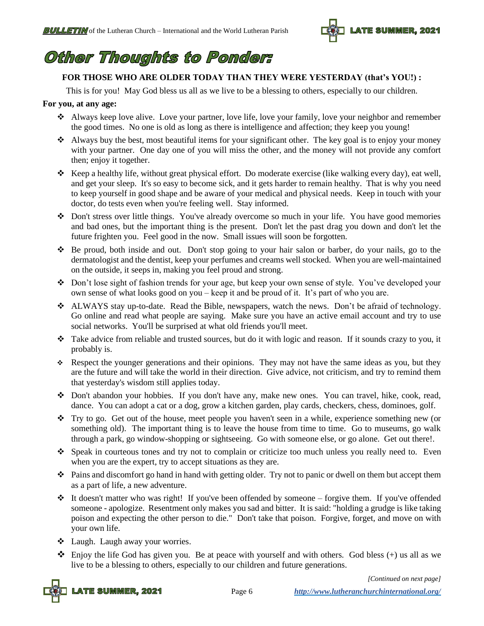

### **Other Thoughts to Ponder:**

#### **FOR THOSE WHO ARE OLDER TODAY THAN THEY WERE YESTERDAY (that's YOU!) :**

This is for you! May God bless us all as we live to be a blessing to others, especially to our children.

#### **For you, at any age:**

- ❖ Always keep love alive. Love your partner, love life, love your family, love your neighbor and remember the good times. No one is old as long as there is intelligence and affection; they keep you young!
- ❖ Always buy the best, most beautiful items for your significant other. The key goal is to enjoy your money with your partner. One day one of you will miss the other, and the money will not provide any comfort then; enjoy it together.
- ❖ Keep a healthy life, without great physical effort. Do moderate exercise (like walking every day), eat well, and get your sleep. It's so easy to become sick, and it gets harder to remain healthy. That is why you need to keep yourself in good shape and be aware of your medical and physical needs. Keep in touch with your doctor, do tests even when you're feeling well. Stay informed.
- ❖ Don't stress over little things. You've already overcome so much in your life. You have good memories and bad ones, but the important thing is the present. Don't let the past drag you down and don't let the future frighten you. Feel good in the now. Small issues will soon be forgotten.
- ❖ Be proud, both inside and out. Don't stop going to your hair salon or barber, do your nails, go to the dermatologist and the dentist, keep your perfumes and creams well stocked. When you are well-maintained on the outside, it seeps in, making you feel proud and strong.
- ❖ Don't lose sight of fashion trends for your age, but keep your own sense of style. You've developed your own sense of what looks good on you – keep it and be proud of it. It's part of who you are.
- ❖ ALWAYS stay up-to-date. Read the Bible, newspapers, watch the news. Don't be afraid of technology. Go online and read what people are saying. Make sure you have an active email account and try to use social networks. You'll be surprised at what old friends you'll meet.
- ❖ Take advice from reliable and trusted sources, but do it with logic and reason. If it sounds crazy to you, it probably is.
- ❖ Respect the younger generations and their opinions. They may not have the same ideas as you, but they are the future and will take the world in their direction. Give advice, not criticism, and try to remind them that yesterday's wisdom still applies today.
- ❖ Don't abandon your hobbies. If you don't have any, make new ones. You can travel, hike, cook, read, dance. You can adopt a cat or a dog, grow a kitchen garden, play cards, checkers, chess, dominoes, golf.
- ❖ Try to go. Get out of the house, meet people you haven't seen in a while, experience something new (or something old). The important thing is to leave the house from time to time. Go to museums, go walk through a park, go window-shopping or sightseeing. Go with someone else, or go alone. Get out there!.
- ❖ Speak in courteous tones and try not to complain or criticize too much unless you really need to. Even when you are the expert, try to accept situations as they are.
- ❖ Pains and discomfort go hand in hand with getting older. Try not to panic or dwell on them but accept them as a part of life, a new adventure.
- ❖ It doesn't matter who was right! If you've been offended by someone forgive them. If you've offended someone - apologize. Resentment only makes you sad and bitter. It is said: "holding a grudge is like taking poison and expecting the other person to die." Don't take that poison. Forgive, forget, and move on with your own life.
- ❖ Laugh. Laugh away your worries.
- $\clubsuit$  Enjoy the life God has given you. Be at peace with yourself and with others. God bless (+) us all as we live to be a blessing to others, especially to our children and future generations.

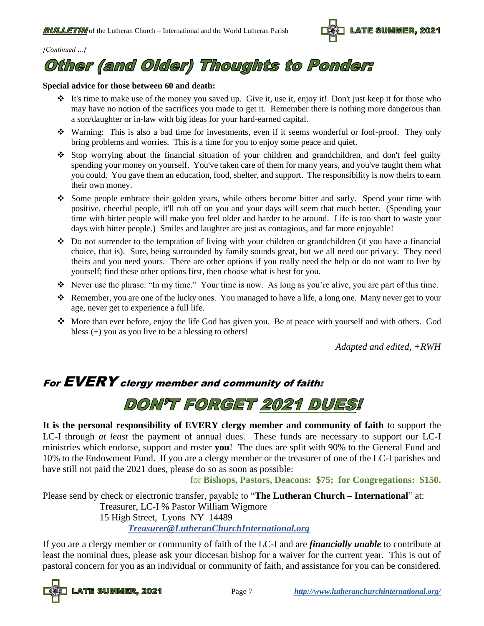

#### *[Continued …]*

# Other (and Older) Thoughts to Ponder:

#### **Special advice for those between 60 and death:**

- ❖ It's time to make use of the money you saved up. Give it, use it, enjoy it! Don't just keep it for those who may have no notion of the sacrifices you made to get it. Remember there is nothing more dangerous than a son/daughter or in-law with big ideas for your hard-earned capital.
- ❖ Warning: This is also a bad time for investments, even if it seems wonderful or fool-proof. They only bring problems and worries. This is a time for you to enjoy some peace and quiet.
- ❖ Stop worrying about the financial situation of your children and grandchildren, and don't feel guilty spending your money on yourself. You've taken care of them for many years, and you've taught them what you could. You gave them an education, food, shelter, and support. The responsibility is now theirs to earn their own money.
- ❖ Some people embrace their golden years, while others become bitter and surly. Spend your time with positive, cheerful people, it'll rub off on you and your days will seem that much better. (Spending your time with bitter people will make you feel older and harder to be around. Life is too short to waste your days with bitter people.) Smiles and laughter are just as contagious, and far more enjoyable!
- ❖ Do not surrender to the temptation of living with your children or grandchildren (if you have a financial choice, that is). Sure, being surrounded by family sounds great, but we all need our privacy. They need theirs and you need yours. There are other options if you really need the help or do not want to live by yourself; find these other options first, then choose what is best for you.
- ❖ Never use the phrase: "In my time." Your time is now. As long as you're alive, you are part of this time.
- ❖ Remember, you are one of the lucky ones. You managed to have a life, a long one. Many never get to your age, never get to experience a full life.
- ❖ More than ever before, enjoy the life God has given you. Be at peace with yourself and with others. God bless (+) you as you live to be a blessing to others!

*Adapted and edited, +RWH*

### For EVERY clergy member and community of faith:

## DON'T FORGET 2021 DUES!

**It is the personal responsibility of EVERY clergy member and community of faith** to support the LC-I through *at least* the payment of annual dues. These funds are necessary to support our LC-I ministries which endorse, support and roster **you**! The dues are split with 90% to the General Fund and 10% to the Endowment Fund. If you are a clergy member or the treasurer of one of the LC-I parishes and have still not paid the 2021 dues, please do so as soon as possible:

for **Bishops, Pastors, Deacons: \$75; for Congregations: \$150.**

Please send by check or electronic transfer, payable to "**The Lutheran Church – International**" at: Treasurer, LC-I % Pastor William Wigmore 15 High Street, Lyons NY 14489

*[Treasurer@LutheranChurchInternational.org](mailto:Treasurer@LutheranChurchInternational.org)*

If you are a clergy member or community of faith of the LC-I and are *financially unable* to contribute at least the nominal dues, please ask your diocesan bishop for a waiver for the current year. This is out of pastoral concern for you as an individual or community of faith, and assistance for you can be considered.